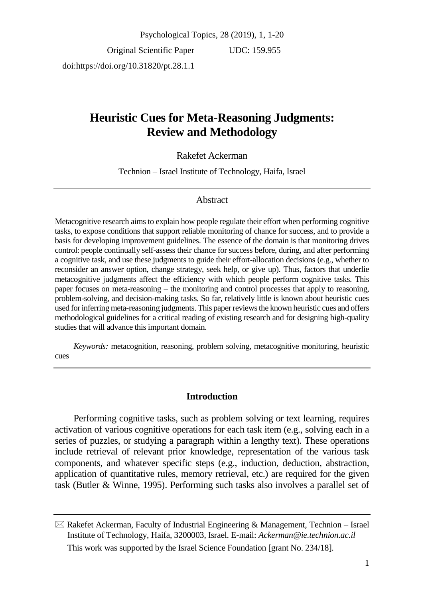Original Scientific Paper doi:https://doi.org/10.31820/pt.28.1.1

UDC: 159.955

# **Heuristic Cues for Meta-Reasoning Judgments: Review and Methodology**

## Rakefet Ackerman

Technion – Israel Institute of Technology, Haifa, Israel

#### Abstract

Metacognitive research aims to explain how people regulate their effort when performing cognitive tasks, to expose conditions that support reliable monitoring of chance for success, and to provide a basis for developing improvement guidelines. The essence of the domain is that monitoring drives control: people continually self-assess their chance for success before, during, and after performing a cognitive task, and use these judgments to guide their effort-allocation decisions (e.g., whether to reconsider an answer option, change strategy, seek help, or give up). Thus, factors that underlie metacognitive judgments affect the efficiency with which people perform cognitive tasks. This paper focuses on meta-reasoning – the monitoring and control processes that apply to reasoning, problem-solving, and decision-making tasks. So far, relatively little is known about heuristic cues used for inferring meta-reasoning judgments. This paper reviewsthe known heuristic cues and offers methodological guidelines for a critical reading of existing research and for designing high-quality studies that will advance this important domain.

*Keywords:* metacognition, reasoning, problem solving, metacognitive monitoring, heuristic cues

#### **Introduction**

Performing cognitive tasks, such as problem solving or text learning, requires activation of various cognitive operations for each task item (e.g., solving each in a series of puzzles, or studying a paragraph within a lengthy text). These operations include retrieval of relevant prior knowledge, representation of the various task components, and whatever specific steps (e.g., induction, deduction, abstraction, application of quantitative rules, memory retrieval, etc.) are required for the given task (Butler & Winne, 1995). Performing such tasks also involves a parallel set of

 $\boxtimes$  Rakefet Ackerman, Faculty of Industrial Engineering & Management, Technion – Israel Institute of Technology, Haifa, 3200003, Israel. E-mail: *Ackerman@ie.technion.ac.il* This work was supported by the Israel Science Foundation [grant No. 234/18].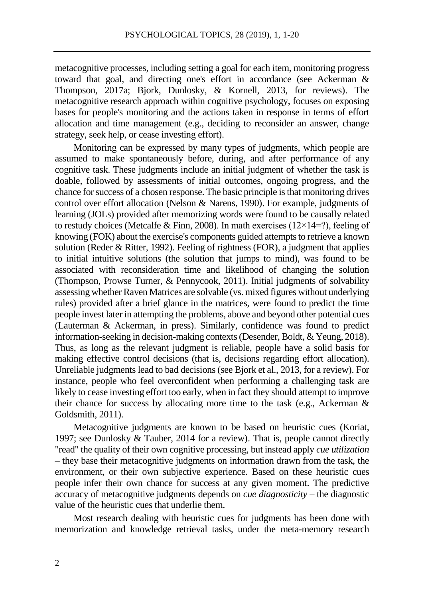metacognitive processes, including setting a goal for each item, monitoring progress toward that goal, and directing one's effort in accordance (see Ackerman & Thompson, 2017a; Bjork, Dunlosky, & Kornell, 2013, for reviews). The metacognitive research approach within cognitive psychology, focuses on exposing bases for people's monitoring and the actions taken in response in terms of effort allocation and time management (e.g., deciding to reconsider an answer, change strategy, seek help, or cease investing effort).

Monitoring can be expressed by many types of judgments, which people are assumed to make spontaneously before, during, and after performance of any cognitive task. These judgments include an initial judgment of whether the task is doable, followed by assessments of initial outcomes, ongoing progress, and the chance for success of a chosen response. The basic principle is that monitoring drives control over effort allocation (Nelson & Narens, 1990). For example, judgments of learning (JOLs) provided after memorizing words were found to be causally related to restudy choices (Metcalfe & Finn, 2008). In math exercises ( $12\times14=$ ?), feeling of knowing (FOK) about the exercise's components guided attempts to retrieve a known solution (Reder & Ritter, 1992). Feeling of rightness (FOR), a judgment that applies to initial intuitive solutions (the solution that jumps to mind), was found to be associated with reconsideration time and likelihood of changing the solution (Thompson, Prowse Turner, & Pennycook, 2011). Initial judgments of solvability assessing whether Raven Matrices are solvable (vs. mixed figures without underlying rules) provided after a brief glance in the matrices, were found to predict the time people invest later in attempting the problems, above and beyond other potential cues (Lauterman & Ackerman, in press). Similarly, confidence was found to predict information-seeking in decision-making contexts (Desender, Boldt, & Yeung, 2018). Thus, as long as the relevant judgment is reliable, people have a solid basis for making effective control decisions (that is, decisions regarding effort allocation). Unreliable judgments lead to bad decisions (see Bjork et al., 2013, for a review). For instance, people who feel overconfident when performing a challenging task are likely to cease investing effort too early, when in fact they should attempt to improve their chance for success by allocating more time to the task (e.g., Ackerman  $\&$ Goldsmith, 2011).

Metacognitive judgments are known to be based on heuristic cues (Koriat, 1997; see Dunlosky & Tauber, 2014 for a review). That is, people cannot directly "read" the quality of their own cognitive processing, but instead apply *cue utilization* – they base their metacognitive judgments on information drawn from the task, the environment, or their own subjective experience. Based on these heuristic cues people infer their own chance for success at any given moment. The predictive accuracy of metacognitive judgments depends on *cue diagnosticity* – the diagnostic value of the heuristic cues that underlie them.

Most research dealing with heuristic cues for judgments has been done with memorization and knowledge retrieval tasks, under the meta-memory research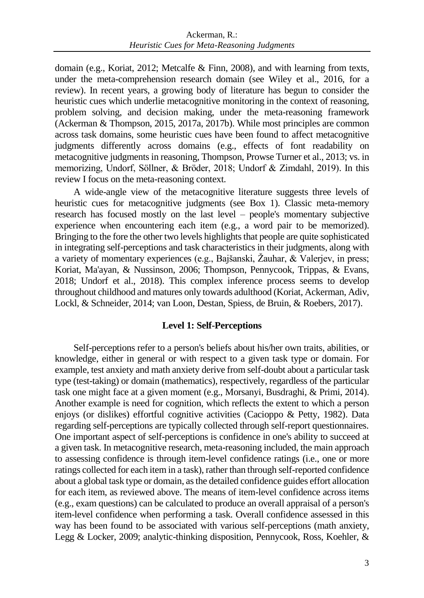domain (e.g., Koriat, 2012; Metcalfe & Finn, 2008), and with learning from texts, under the meta-comprehension research domain (see Wiley et al., 2016, for a review). In recent years, a growing body of literature has begun to consider the heuristic cues which underlie metacognitive monitoring in the context of reasoning, problem solving, and decision making, under the meta-reasoning framework (Ackerman & Thompson, 2015, 2017a, 2017b). While most principles are common across task domains, some heuristic cues have been found to affect metacognitive judgments differently across domains (e.g., effects of font readability on metacognitive judgments in reasoning, Thompson, Prowse Turner et al., 2013; vs. in memorizing, Undorf, Söllner, & Bröder, 2018; Undorf & Zimdahl, 2019). In this review I focus on the meta-reasoning context.

A wide-angle view of the metacognitive literature suggests three levels of heuristic cues for metacognitive judgments (see Box 1). Classic meta-memory research has focused mostly on the last level – people's momentary subjective experience when encountering each item (e.g., a word pair to be memorized). Bringing to the fore the other two levels highlights that people are quite sophisticated in integrating self-perceptions and task characteristics in their judgments, along with a variety of momentary experiences (e.g., Bajšanski, Žauhar, & Valerjev, in press; Koriat, Ma'ayan, & Nussinson, 2006; Thompson, Pennycook, Trippas, & Evans, 2018; Undorf et al., 2018). This complex inference process seems to develop throughout childhood and matures only towards adulthood (Koriat, Ackerman, Adiv, Lockl, & Schneider, 2014; van Loon, Destan, Spiess, de Bruin, & Roebers, 2017).

## **Level 1: Self-Perceptions**

Self-perceptions refer to a person's beliefs about his/her own traits, abilities, or knowledge, either in general or with respect to a given task type or domain. For example, test anxiety and math anxiety derive from self-doubt about a particular task type (test-taking) or domain (mathematics), respectively, regardless of the particular task one might face at a given moment (e.g., Morsanyi, Busdraghi, & Primi, 2014). Another example is need for cognition, which reflects the extent to which a person enjoys (or dislikes) effortful cognitive activities (Cacioppo & Petty, 1982). Data regarding self-perceptions are typically collected through self-report questionnaires. One important aspect of self-perceptions is confidence in one's ability to succeed at a given task. In metacognitive research, meta-reasoning included, the main approach to assessing confidence is through item-level confidence ratings (i.e., one or more ratings collected for each item in a task), rather than through self-reported confidence about a global task type or domain, as the detailed confidence guides effort allocation for each item, as reviewed above. The means of item-level confidence across items (e.g., exam questions) can be calculated to produce an overall appraisal of a person's item-level confidence when performing a task. Overall confidence assessed in this way has been found to be associated with various self-perceptions (math anxiety, Legg & Locker, 2009; analytic-thinking disposition, Pennycook, Ross, Koehler, &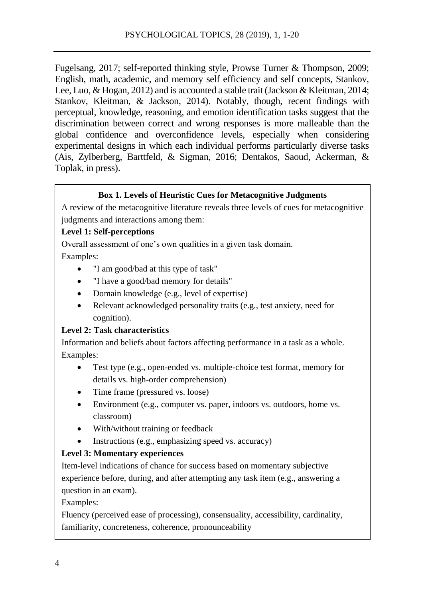Fugelsang, 2017; self-reported thinking style, Prowse Turner & Thompson, 2009; English, math, academic, and memory self efficiency and self concepts, Stankov, Lee, Luo, & Hogan, 2012) and is accounted a stable trait (Jackson & Kleitman, 2014; Stankov, Kleitman, & Jackson, 2014). Notably, though, recent findings with perceptual, knowledge, reasoning, and emotion identification tasks suggest that the discrimination between correct and wrong responses is more malleable than the global confidence and overconfidence levels, especially when considering experimental designs in which each individual performs particularly diverse tasks (Ais, Zylberberg, Barttfeld, & Sigman, 2016; Dentakos, Saoud, Ackerman, & Toplak, in press).

## **Box 1. Levels of Heuristic Cues for Metacognitive Judgments**

A review of the metacognitive literature reveals three levels of cues for metacognitive judgments and interactions among them:

## **Level 1: Self-perceptions**

Overall assessment of one's own qualities in a given task domain.

Examples:

- "I am good/bad at this type of task"
- "I have a good/bad memory for details"
- Domain knowledge (e.g., level of expertise)
- Relevant acknowledged personality traits (e.g., test anxiety, need for cognition).

## **Level 2: Task characteristics**

Information and beliefs about factors affecting performance in a task as a whole. Examples:

- Test type (e.g., open-ended vs. multiple-choice test format, memory for details vs. high-order comprehension)
- Time frame (pressured vs. loose)
- Environment (e.g., computer vs. paper, indoors vs. outdoors, home vs. classroom)
- With/without training or feedback
- Instructions (e.g., emphasizing speed vs. accuracy)

# **Level 3: Momentary experiences**

Item-level indications of chance for success based on momentary subjective experience before, during, and after attempting any task item (e.g., answering a question in an exam).

Examples:

Fluency (perceived ease of processing), consensuality, accessibility, cardinality, familiarity, concreteness, coherence, pronounceability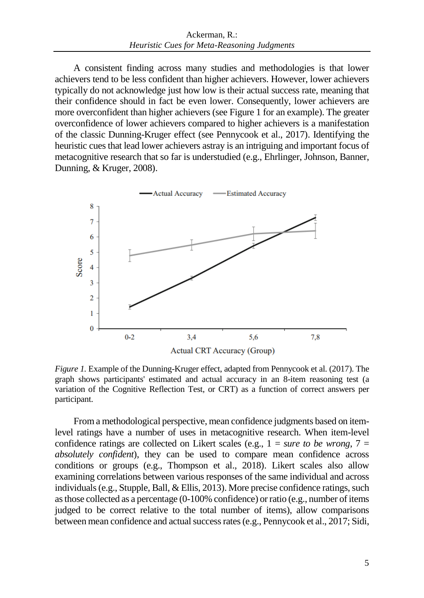A consistent finding across many studies and methodologies is that lower achievers tend to be less confident than higher achievers. However, lower achievers typically do not acknowledge just how low is their actual success rate, meaning that their confidence should in fact be even lower. Consequently, lower achievers are more overconfident than higher achievers (see Figure 1 for an example). The greater overconfidence of lower achievers compared to higher achievers is a manifestation of the classic Dunning-Kruger effect (see Pennycook et al., 2017). Identifying the heuristic cues that lead lower achievers astray is an intriguing and important focus of metacognitive research that so far is understudied (e.g., Ehrlinger, Johnson, Banner, Dunning, & Kruger, 2008).



*Figure 1.* Example of the Dunning-Kruger effect, adapted from Pennycook et al. (2017). The graph shows participants' estimated and actual accuracy in an 8-item reasoning test (a variation of the Cognitive Reflection Test, or CRT) as a function of correct answers per participant.

From a methodological perspective, mean confidence judgments based on itemlevel ratings have a number of uses in metacognitive research. When item-level confidence ratings are collected on Likert scales (e.g.,  $1 = sure$  to be wrong,  $7 =$ *absolutely confident*), they can be used to compare mean confidence across conditions or groups (e.g., Thompson et al., 2018). Likert scales also allow examining correlations between various responses of the same individual and across individuals (e.g., Stupple, Ball, & Ellis, 2013). More precise confidence ratings, such as those collected as a percentage (0-100% confidence) or ratio (e.g., number of items judged to be correct relative to the total number of items), allow comparisons between mean confidence and actual success rates (e.g., Pennycook et al., 2017; Sidi,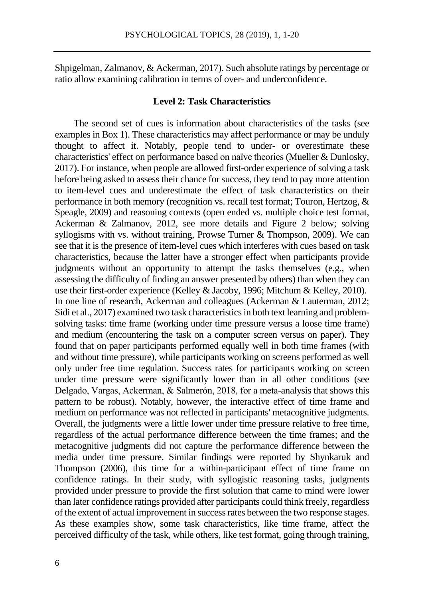Shpigelman, Zalmanov, & Ackerman, 2017). Such absolute ratings by percentage or ratio allow examining calibration in terms of over- and underconfidence.

## **Level 2: Task Characteristics**

The second set of cues is information about characteristics of the tasks (see examples in Box 1). These characteristics may affect performance or may be unduly thought to affect it. Notably, people tend to under- or overestimate these characteristics' effect on performance based on naïve theories (Mueller & Dunlosky, 2017). For instance, when people are allowed first-order experience of solving a task before being asked to assess their chance for success, they tend to pay more attention to item-level cues and underestimate the effect of task characteristics on their performance in both memory (recognition vs. recall test format; Touron, Hertzog, & Speagle, 2009) and reasoning contexts (open ended vs. multiple choice test format, Ackerman & Zalmanov, 2012, see more details and Figure 2 below; solving syllogisms with vs. without training, Prowse Turner & Thompson, 2009). We can see that it is the presence of item-level cues which interferes with cues based on task characteristics, because the latter have a stronger effect when participants provide judgments without an opportunity to attempt the tasks themselves (e.g., when assessing the difficulty of finding an answer presented by others) than when they can use their first-order experience (Kelley & Jacoby, 1996; Mitchum & Kelley, 2010). In one line of research, Ackerman and colleagues (Ackerman & Lauterman, 2012; Sidi et al., 2017) examined two task characteristics in both text learning and problemsolving tasks: time frame (working under time pressure versus a loose time frame) and medium (encountering the task on a computer screen versus on paper). They found that on paper participants performed equally well in both time frames (with and without time pressure), while participants working on screens performed as well only under free time regulation. Success rates for participants working on screen under time pressure were significantly lower than in all other conditions (see Delgado, Vargas, Ackerman, & Salmerón, 2018, for a meta-analysis that shows this pattern to be robust). Notably, however, the interactive effect of time frame and medium on performance was not reflected in participants' metacognitive judgments. Overall, the judgments were a little lower under time pressure relative to free time, regardless of the actual performance difference between the time frames; and the metacognitive judgments did not capture the performance difference between the media under time pressure. Similar findings were reported by Shynkaruk and Thompson (2006), this time for a within-participant effect of time frame on confidence ratings. In their study, with syllogistic reasoning tasks, judgments provided under pressure to provide the first solution that came to mind were lower than later confidence ratings provided after participants could think freely, regardless of the extent of actual improvement in success rates between the two response stages. As these examples show, some task characteristics, like time frame, affect the perceived difficulty of the task, while others, like test format, going through training,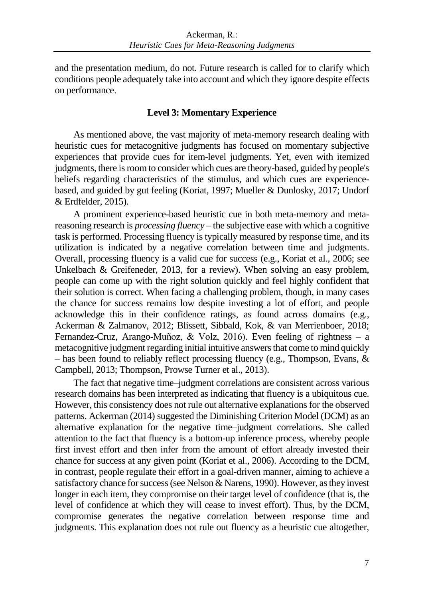and the presentation medium, do not. Future research is called for to clarify which conditions people adequately take into account and which they ignore despite effects on performance.

## **Level 3: Momentary Experience**

As mentioned above, the vast majority of meta-memory research dealing with heuristic cues for metacognitive judgments has focused on momentary subjective experiences that provide cues for item-level judgments. Yet, even with itemized judgments, there is room to consider which cues are theory-based, guided by people's beliefs regarding characteristics of the stimulus, and which cues are experiencebased, and guided by gut feeling (Koriat, 1997; Mueller & Dunlosky, 2017; Undorf & Erdfelder, 2015).

A prominent experience-based heuristic cue in both meta-memory and metareasoning research is *processing fluency –* the subjective ease with which a cognitive task is performed. Processing fluency is typically measured by response time, and its utilization is indicated by a negative correlation between time and judgments. Overall, processing fluency is a valid cue for success (e.g., Koriat et al., 2006; see Unkelbach & Greifeneder, 2013, for a review). When solving an easy problem, people can come up with the right solution quickly and feel highly confident that their solution is correct. When facing a challenging problem, though, in many cases the chance for success remains low despite investing a lot of effort, and people acknowledge this in their confidence ratings, as found across domains (e.g., Ackerman & Zalmanov, 2012; Blissett, Sibbald, Kok, & van Merrienboer, 2018; Fernandez-Cruz, Arango-Muñoz, & Volz, 2016). Even feeling of rightness – a metacognitive judgment regarding initial intuitive answers that come to mind quickly – has been found to reliably reflect processing fluency (e.g., Thompson, Evans, & Campbell, 2013; Thompson, Prowse Turner et al., 2013).

The fact that negative time–judgment correlations are consistent across various research domains has been interpreted as indicating that fluency is a ubiquitous cue. However, this consistency does not rule out alternative explanations for the observed patterns. Ackerman (2014) suggested the Diminishing Criterion Model (DCM) as an alternative explanation for the negative time–judgment correlations. She called attention to the fact that fluency is a bottom-up inference process, whereby people first invest effort and then infer from the amount of effort already invested their chance for success at any given point (Koriat et al., 2006). According to the DCM, in contrast, people regulate their effort in a goal-driven manner, aiming to achieve a satisfactory chance for success (see Nelson & Narens, 1990). However, as they invest longer in each item, they compromise on their target level of confidence (that is, the level of confidence at which they will cease to invest effort). Thus, by the DCM, compromise generates the negative correlation between response time and judgments. This explanation does not rule out fluency as a heuristic cue altogether,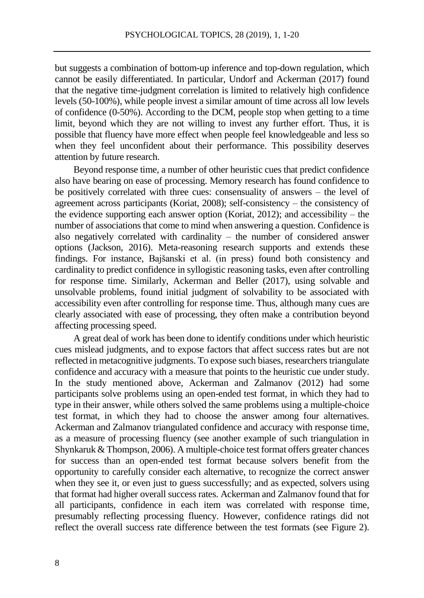but suggests a combination of bottom-up inference and top-down regulation, which cannot be easily differentiated. In particular, Undorf and Ackerman (2017) found that the negative time-judgment correlation is limited to relatively high confidence levels (50-100%), while people invest a similar amount of time across all low levels of confidence (0-50%). According to the DCM, people stop when getting to a time limit, beyond which they are not willing to invest any further effort. Thus, it is possible that fluency have more effect when people feel knowledgeable and less so when they feel unconfident about their performance. This possibility deserves attention by future research.

Beyond response time, a number of other heuristic cues that predict confidence also have bearing on ease of processing. Memory research has found confidence to be positively correlated with three cues: consensuality of answers – the level of agreement across participants (Koriat, 2008); self-consistency – the consistency of the evidence supporting each answer option (Koriat, 2012); and accessibility – the number of associations that come to mind when answering a question. Confidence is also negatively correlated with cardinality – the number of considered answer options (Jackson, 2016). Meta-reasoning research supports and extends these findings. For instance, Bajšanski et al. (in press) found both consistency and cardinality to predict confidence in syllogistic reasoning tasks, even after controlling for response time. Similarly, Ackerman and Beller (2017), using solvable and unsolvable problems, found initial judgment of solvability to be associated with accessibility even after controlling for response time. Thus, although many cues are clearly associated with ease of processing, they often make a contribution beyond affecting processing speed.

A great deal of work has been done to identify conditions under which heuristic cues mislead judgments, and to expose factors that affect success rates but are not reflected in metacognitive judgments. To expose such biases, researchers triangulate confidence and accuracy with a measure that points to the heuristic cue under study. In the study mentioned above, Ackerman and Zalmanov (2012) had some participants solve problems using an open-ended test format, in which they had to type in their answer, while others solved the same problems using a multiple-choice test format, in which they had to choose the answer among four alternatives. Ackerman and Zalmanov triangulated confidence and accuracy with response time, as a measure of processing fluency (see another example of such triangulation in Shynkaruk & Thompson, 2006). A multiple-choice test format offers greater chances for success than an open-ended test format because solvers benefit from the opportunity to carefully consider each alternative, to recognize the correct answer when they see it, or even just to guess successfully; and as expected, solvers using that format had higher overall success rates. Ackerman and Zalmanov found that for all participants, confidence in each item was correlated with response time, presumably reflecting processing fluency. However, confidence ratings did not reflect the overall success rate difference between the test formats (see Figure 2).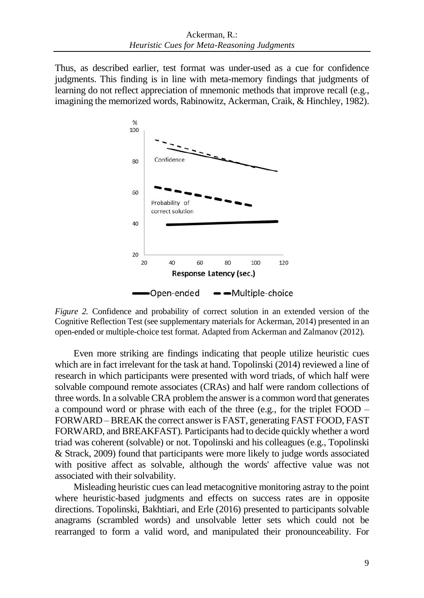Thus, as described earlier, test format was under-used as a cue for confidence judgments. This finding is in line with meta-memory findings that judgments of learning do not reflect appreciation of mnemonic methods that improve recall (e.g., imagining the memorized words, Rabinowitz, Ackerman, Craik, & Hinchley, 1982).



*Figure 2.* Confidence and probability of correct solution in an extended version of the Cognitive Reflection Test (see supplementary materials for Ackerman, 2014) presented in an open-ended or multiple-choice test format. Adapted from Ackerman and Zalmanov (2012).

Even more striking are findings indicating that people utilize heuristic cues which are in fact irrelevant for the task at hand. Topolinski (2014) reviewed a line of research in which participants were presented with word triads, of which half were solvable compound remote associates (CRAs) and half were random collections of three words. In a solvable CRA problem the answer is a common word that generates a compound word or phrase with each of the three (e.g., for the triplet FOOD – FORWARD – BREAK the correct answer is FAST, generating FAST FOOD, FAST FORWARD, and BREAKFAST). Participants had to decide quickly whether a word triad was coherent (solvable) or not. Topolinski and his colleagues (e.g., Topolinski & Strack, 2009) found that participants were more likely to judge words associated with positive affect as solvable, although the words' affective value was not associated with their solvability.

Misleading heuristic cues can lead metacognitive monitoring astray to the point where heuristic-based judgments and effects on success rates are in opposite directions. Topolinski, Bakhtiari, and Erle (2016) presented to participants solvable anagrams (scrambled words) and unsolvable letter sets which could not be rearranged to form a valid word, and manipulated their pronounceability. For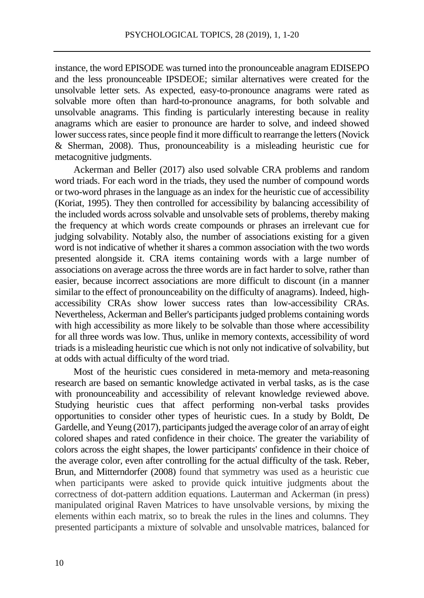instance, the word EPISODE was turned into the pronounceable anagram EDISEPO and the less pronounceable IPSDEOE; similar alternatives were created for the unsolvable letter sets. As expected, easy-to-pronounce anagrams were rated as solvable more often than hard-to-pronounce anagrams, for both solvable and unsolvable anagrams. This finding is particularly interesting because in reality anagrams which are easier to pronounce are harder to solve, and indeed showed lower success rates, since people find it more difficult to rearrange the letters (Novick & Sherman, 2008). Thus, pronounceability is a misleading heuristic cue for metacognitive judgments.

Ackerman and Beller (2017) also used solvable CRA problems and random word triads. For each word in the triads, they used the number of compound words or two-word phrases in the language as an index for the heuristic cue of accessibility (Koriat, 1995). They then controlled for accessibility by balancing accessibility of the included words across solvable and unsolvable sets of problems, thereby making the frequency at which words create compounds or phrases an irrelevant cue for judging solvability. Notably also, the number of associations existing for a given word is not indicative of whether it shares a common association with the two words presented alongside it. CRA items containing words with a large number of associations on average across the three words are in fact harder to solve, rather than easier, because incorrect associations are more difficult to discount (in a manner similar to the effect of pronounceability on the difficulty of anagrams). Indeed, highaccessibility CRAs show lower success rates than low-accessibility CRAs. Nevertheless, Ackerman and Beller's participants judged problems containing words with high accessibility as more likely to be solvable than those where accessibility for all three words was low. Thus, unlike in memory contexts, accessibility of word triads is a misleading heuristic cue which is not only not indicative of solvability, but at odds with actual difficulty of the word triad.

Most of the heuristic cues considered in meta-memory and meta-reasoning research are based on semantic knowledge activated in verbal tasks, as is the case with pronounceability and accessibility of relevant knowledge reviewed above. Studying heuristic cues that affect performing non-verbal tasks provides opportunities to consider other types of heuristic cues. In a study by Boldt, De Gardelle, and Yeung (2017), participants judged the average color of an array of eight colored shapes and rated confidence in their choice. The greater the variability of colors across the eight shapes, the lower participants' confidence in their choice of the average color, even after controlling for the actual difficulty of the task. Reber, Brun, and Mitterndorfer (2008) found that symmetry was used as a heuristic cue when participants were asked to provide quick intuitive judgments about the correctness of dot-pattern addition equations. Lauterman and Ackerman (in press) manipulated original Raven Matrices to have unsolvable versions, by mixing the elements within each matrix, so to break the rules in the lines and columns. They presented participants a mixture of solvable and unsolvable matrices, balanced for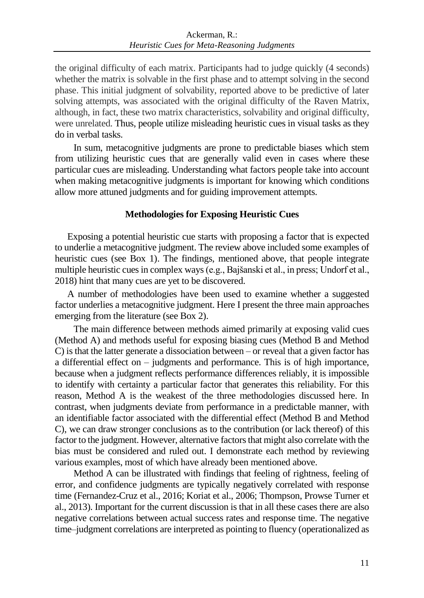the original difficulty of each matrix. Participants had to judge quickly (4 seconds) whether the matrix is solvable in the first phase and to attempt solving in the second phase. This initial judgment of solvability, reported above to be predictive of later solving attempts, was associated with the original difficulty of the Raven Matrix, although, in fact, these two matrix characteristics, solvability and original difficulty, were unrelated. Thus, people utilize misleading heuristic cues in visual tasks as they do in verbal tasks.

In sum, metacognitive judgments are prone to predictable biases which stem from utilizing heuristic cues that are generally valid even in cases where these particular cues are misleading. Understanding what factors people take into account when making metacognitive judgments is important for knowing which conditions allow more attuned judgments and for guiding improvement attempts.

## **Methodologies for Exposing Heuristic Cues**

Exposing a potential heuristic cue starts with proposing a factor that is expected to underlie a metacognitive judgment. The review above included some examples of heuristic cues (see Box 1). The findings, mentioned above, that people integrate multiple heuristic cues in complex ways (e.g., Bajšanski et al., in press; Undorf et al., 2018) hint that many cues are yet to be discovered.

A number of methodologies have been used to examine whether a suggested factor underlies a metacognitive judgment. Here I present the three main approaches emerging from the literature (see Box 2).

The main difference between methods aimed primarily at exposing valid cues (Method A) and methods useful for exposing biasing cues (Method B and Method C) is that the latter generate a dissociation between – or reveal that a given factor has a differential effect on – judgments and performance. This is of high importance, because when a judgment reflects performance differences reliably, it is impossible to identify with certainty a particular factor that generates this reliability. For this reason, Method A is the weakest of the three methodologies discussed here. In contrast, when judgments deviate from performance in a predictable manner, with an identifiable factor associated with the differential effect (Method B and Method C), we can draw stronger conclusions as to the contribution (or lack thereof) of this factor to the judgment. However, alternative factors that might also correlate with the bias must be considered and ruled out. I demonstrate each method by reviewing various examples, most of which have already been mentioned above.

Method A can be illustrated with findings that feeling of rightness, feeling of error, and confidence judgments are typically negatively correlated with response time (Fernandez-Cruz et al., 2016; Koriat et al., 2006; Thompson, Prowse Turner et al., 2013). Important for the current discussion is that in all these cases there are also negative correlations between actual success rates and response time. The negative time–judgment correlations are interpreted as pointing to fluency (operationalized as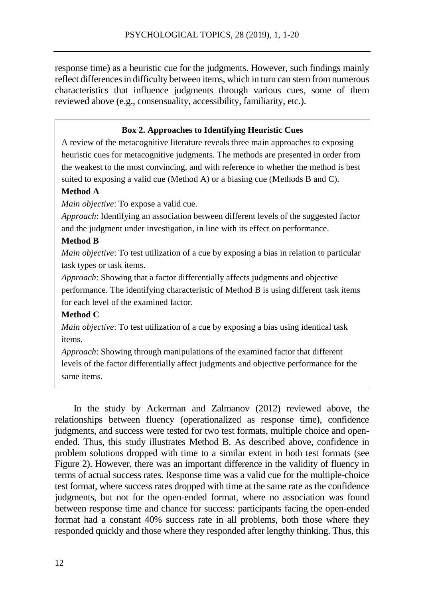response time) as a heuristic cue for the judgments. However, such findings mainly reflect differences in difficulty between items, which in turn can stem from numerous characteristics that influence judgments through various cues, some of them reviewed above (e.g., consensuality, accessibility, familiarity, etc.).

### **Box 2. Approaches to Identifying Heuristic Cues**

A review of the metacognitive literature reveals three main approaches to exposing heuristic cues for metacognitive judgments. The methods are presented in order from the weakest to the most convincing, and with reference to whether the method is best suited to exposing a valid cue (Method A) or a biasing cue (Methods B and C).

#### **Method A**

*Main objective*: To expose a valid cue.

*Approach*: Identifying an association between different levels of the suggested factor and the judgment under investigation*,* in line with its effect on performance.

#### **Method B**

*Main objective*: To test utilization of a cue by exposing a bias in relation to particular task types or task items.

*Approach*: Showing that a factor differentially affects judgments and objective performance. The identifying characteristic of Method B is using different task items for each level of the examined factor.

#### **Method C**

*Main objective*: To test utilization of a cue by exposing a bias using identical task items.

*Approach*: Showing through manipulations of the examined factor that different levels of the factor differentially affect judgments and objective performance for the same items*.*

In the study by Ackerman and Zalmanov (2012) reviewed above, the relationships between fluency (operationalized as response time), confidence judgments, and success were tested for two test formats, multiple choice and openended. Thus, this study illustrates Method B. As described above, confidence in problem solutions dropped with time to a similar extent in both test formats (see Figure 2). However, there was an important difference in the validity of fluency in terms of actual success rates. Response time was a valid cue for the multiple-choice test format, where success rates dropped with time at the same rate as the confidence judgments, but not for the open-ended format, where no association was found between response time and chance for success: participants facing the open-ended format had a constant 40% success rate in all problems, both those where they responded quickly and those where they responded after lengthy thinking. Thus, this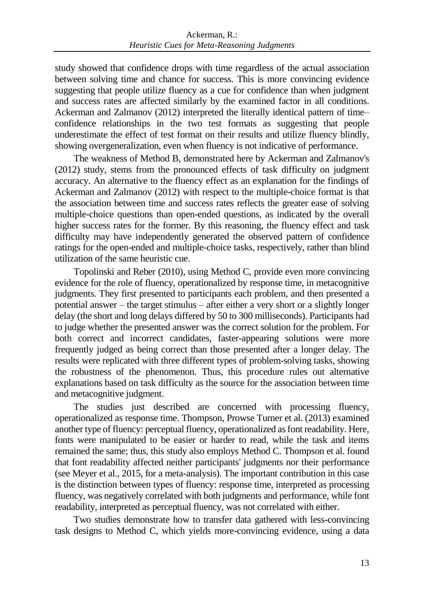study showed that confidence drops with time regardless of the actual association between solving time and chance for success. This is more convincing evidence suggesting that people utilize fluency as a cue for confidence than when judgment and success rates are affected similarly by the examined factor in all conditions. Ackerman and Zalmanov (2012) interpreted the literally identical pattern of time– confidence relationships in the two test formats as suggesting that people underestimate the effect of test format on their results and utilize fluency blindly, showing overgeneralization, even when fluency is not indicative of performance.

The weakness of Method B, demonstrated here by Ackerman and Zalmanov's (2012) study, stems from the pronounced effects of task difficulty on judgment accuracy. An alternative to the fluency effect as an explanation for the findings of Ackerman and Zalmanov (2012) with respect to the multiple-choice format is that the association between time and success rates reflects the greater ease of solving multiple-choice questions than open-ended questions, as indicated by the overall higher success rates for the former. By this reasoning, the fluency effect and task difficulty may have independently generated the observed pattern of confidence ratings for the open-ended and multiple-choice tasks, respectively, rather than blind utilization of the same heuristic cue.

Topolinski and Reber (2010), using Method C, provide even more convincing evidence for the role of fluency, operationalized by response time, in metacognitive judgments. They first presented to participants each problem, and then presented a potential answer – the target stimulus – after either a very short or a slightly longer delay (the short and long delays differed by 50 to 300 milliseconds). Participants had to judge whether the presented answer was the correct solution for the problem. For both correct and incorrect candidates, faster-appearing solutions were more frequently judged as being correct than those presented after a longer delay. The results were replicated with three different types of problem-solving tasks, showing the robustness of the phenomenon. Thus, this procedure rules out alternative explanations based on task difficulty as the source for the association between time and metacognitive judgment.

The studies just described are concerned with processing fluency, operationalized as response time. Thompson, Prowse Turner et al. (2013) examined another type of fluency: perceptual fluency, operationalized as font readability. Here, fonts were manipulated to be easier or harder to read, while the task and items remained the same; thus, this study also employs Method C. Thompson et al. found that font readability affected neither participants' judgments nor their performance (see Meyer et al., 2015, for a meta-analysis). The important contribution in this case is the distinction between types of fluency: response time, interpreted as processing fluency, was negatively correlated with both judgments and performance, while font readability, interpreted as perceptual fluency, was not correlated with either.

Two studies demonstrate how to transfer data gathered with less-convincing task designs to Method C, which yields more-convincing evidence, using a data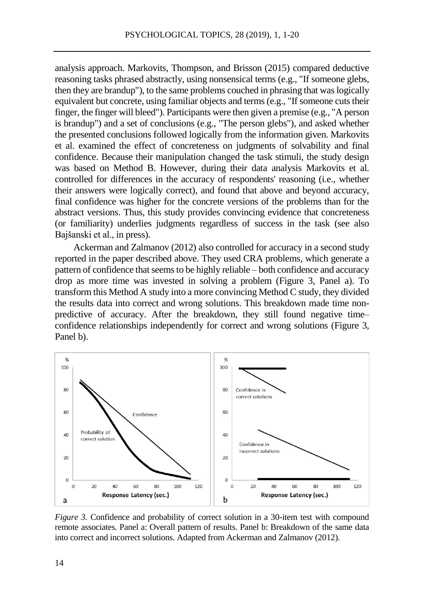analysis approach. Markovits, Thompson, and Brisson (2015) compared deductive reasoning tasks phrased abstractly, using nonsensical terms (e.g., "If someone glebs, then they are brandup"), to the same problems couched in phrasing that was logically equivalent but concrete, using familiar objects and terms (e.g., "If someone cuts their finger, the finger will bleed"). Participants were then given a premise (e.g., "A person is brandup") and a set of conclusions (e.g., "The person glebs"), and asked whether the presented conclusions followed logically from the information given. Markovits et al. examined the effect of concreteness on judgments of solvability and final confidence. Because their manipulation changed the task stimuli, the study design was based on Method B. However, during their data analysis Markovits et al. controlled for differences in the accuracy of respondents' reasoning (i.e., whether their answers were logically correct), and found that above and beyond accuracy, final confidence was higher for the concrete versions of the problems than for the abstract versions. Thus, this study provides convincing evidence that concreteness (or familiarity) underlies judgments regardless of success in the task (see also Bajšanski et al., in press).

Ackerman and Zalmanov (2012) also controlled for accuracy in a second study reported in the paper described above. They used CRA problems, which generate a pattern of confidence that seems to be highly reliable – both confidence and accuracy drop as more time was invested in solving a problem (Figure 3, Panel a). To transform this Method A study into a more convincing Method C study, they divided the results data into correct and wrong solutions. This breakdown made time nonpredictive of accuracy. After the breakdown, they still found negative time– confidence relationships independently for correct and wrong solutions (Figure 3, Panel b).



*Figure 3.* Confidence and probability of correct solution in a 30-item test with compound remote associates. Panel a: Overall pattern of results. Panel b: Breakdown of the same data into correct and incorrect solutions. Adapted from Ackerman and Zalmanov (2012).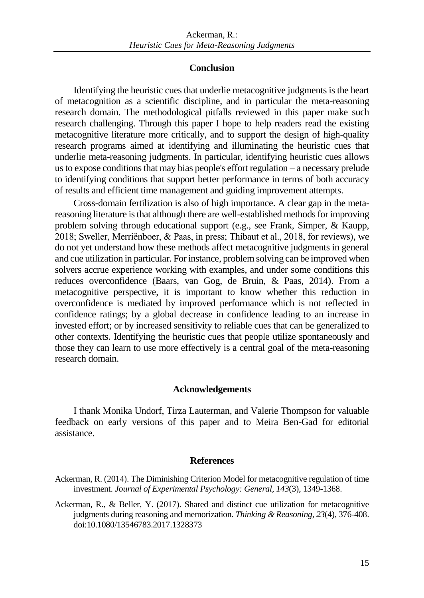#### **Conclusion**

Identifying the heuristic cues that underlie metacognitive judgments is the heart of metacognition as a scientific discipline, and in particular the meta-reasoning research domain. The methodological pitfalls reviewed in this paper make such research challenging. Through this paper I hope to help readers read the existing metacognitive literature more critically, and to support the design of high-quality research programs aimed at identifying and illuminating the heuristic cues that underlie meta-reasoning judgments. In particular, identifying heuristic cues allows us to expose conditions that may bias people's effort regulation – a necessary prelude to identifying conditions that support better performance in terms of both accuracy of results and efficient time management and guiding improvement attempts.

Cross-domain fertilization is also of high importance. A clear gap in the metareasoning literature is that although there are well-established methods for improving problem solving through educational support (e.g., see Frank, Simper, & Kaupp, 2018; Sweller, Merriënboer, & Paas, in press; Thibaut et al., 2018, for reviews), we do not yet understand how these methods affect metacognitive judgments in general and cue utilization in particular. For instance, problem solving can be improved when solvers accrue experience working with examples, and under some conditions this reduces overconfidence (Baars, van Gog, de Bruin, & Paas, 2014). From a metacognitive perspective, it is important to know whether this reduction in overconfidence is mediated by improved performance which is not reflected in confidence ratings; by a global decrease in confidence leading to an increase in invested effort; or by increased sensitivity to reliable cues that can be generalized to other contexts. Identifying the heuristic cues that people utilize spontaneously and those they can learn to use more effectively is a central goal of the meta-reasoning research domain.

#### **Acknowledgements**

I thank Monika Undorf, Tirza Lauterman, and Valerie Thompson for valuable feedback on early versions of this paper and to Meira Ben-Gad for editorial assistance.

#### **References**

- Ackerman, R. (2014). The Diminishing Criterion Model for metacognitive regulation of time investment. *Journal of Experimental Psychology: General, 143*(3), 1349-1368.
- Ackerman, R., & Beller, Y. (2017). Shared and distinct cue utilization for metacognitive judgments during reasoning and memorization. *Thinking & Reasoning, 23*(4), 376-408. doi:10.1080/13546783.2017.1328373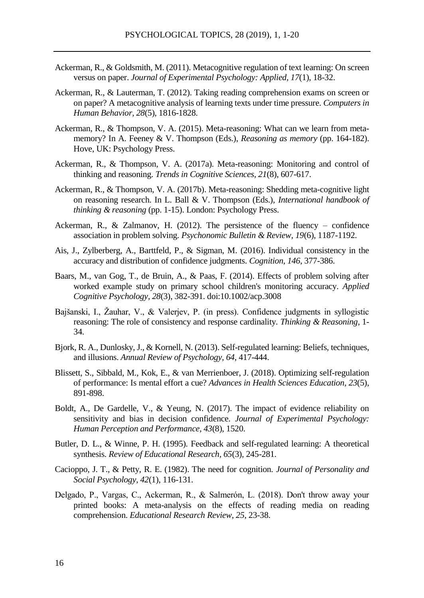- Ackerman, R., & Goldsmith, M. (2011). Metacognitive regulation of text learning: On screen versus on paper. *Journal of Experimental Psychology: Applied, 17*(1), 18-32.
- Ackerman, R., & Lauterman, T. (2012). Taking reading comprehension exams on screen or on paper? A metacognitive analysis of learning texts under time pressure. *Computers in Human Behavior, 28*(5), 1816-1828.
- Ackerman, R., & Thompson, V. A. (2015). Meta-reasoning: What can we learn from metamemory? In A. Feeney & V. Thompson (Eds.), *Reasoning as memory* (pp. 164-182). Hove, UK: Psychology Press.
- Ackerman, R., & Thompson, V. A. (2017a). Meta-reasoning: Monitoring and control of thinking and reasoning. *Trends in Cognitive Sciences, 21*(8), 607-617.
- Ackerman, R., & Thompson, V. A. (2017b). Meta-reasoning: Shedding meta-cognitive light on reasoning research. In L. Ball & V. Thompson (Eds.), *International handbook of thinking & reasoning* (pp. 1-15). London: Psychology Press.
- Ackerman, R., & Zalmanov, H. (2012). The persistence of the fluency confidence association in problem solving. *Psychonomic Bulletin & Review, 19*(6), 1187-1192.
- Ais, J., Zylberberg, A., Barttfeld, P., & Sigman, M. (2016). Individual consistency in the accuracy and distribution of confidence judgments. *Cognition, 146*, 377-386.
- Baars, M., van Gog, T., de Bruin, A., & Paas, F. (2014). Effects of problem solving after worked example study on primary school children's monitoring accuracy. *Applied Cognitive Psychology, 28*(3), 382-391. doi:10.1002/acp.3008
- Bajšanski, I., Žauhar, V., & Valerjev, P. (in press). Confidence judgments in syllogistic reasoning: The role of consistency and response cardinality. *Thinking & Reasoning*, 1- 34.
- Bjork, R. A., Dunlosky, J., & Kornell, N. (2013). Self-regulated learning: Beliefs, techniques, and illusions. *Annual Review of Psychology, 64*, 417-444.
- Blissett, S., Sibbald, M., Kok, E., & van Merrienboer, J. (2018). Optimizing self-regulation of performance: Is mental effort a cue? *Advances in Health Sciences Education, 23*(5), 891-898.
- Boldt, A., De Gardelle, V., & Yeung, N. (2017). The impact of evidence reliability on sensitivity and bias in decision confidence. *Journal of Experimental Psychology: Human Perception and Performance, 43*(8), 1520.
- Butler, D. L., & Winne, P. H. (1995). Feedback and self-regulated learning: A theoretical synthesis. *Review of Educational Research, 65*(3), 245-281.
- Cacioppo, J. T., & Petty, R. E. (1982). The need for cognition. *Journal of Personality and Social Psychology, 42*(1), 116-131.
- Delgado, P., Vargas, C., Ackerman, R., & Salmerón, L. (2018). Don't throw away your printed books: A meta-analysis on the effects of reading media on reading comprehension. *Educational Research Review*, *25*, 23-38.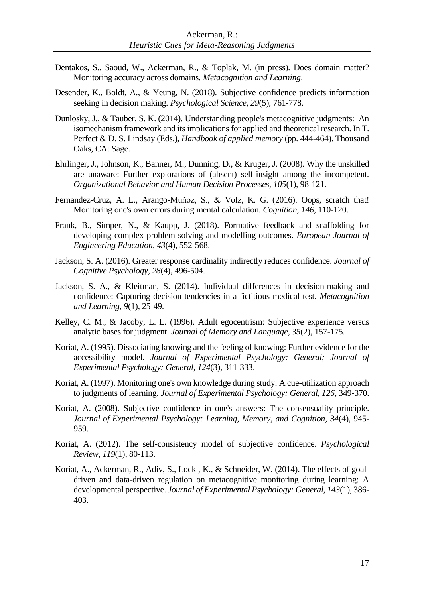- Dentakos, S., Saoud, W., Ackerman, R., & Toplak, M. (in press). Does domain matter? Monitoring accuracy across domains. *Metacognition and Learning*.
- Desender, K., Boldt, A., & Yeung, N. (2018). Subjective confidence predicts information seeking in decision making. *Psychological Science, 29*(5), 761-778.
- Dunlosky, J., & Tauber, S. K. (2014). Understanding people's metacognitive judgments: An isomechanism framework and its implications for applied and theoretical research. In T. Perfect & D. S. Lindsay (Eds.), *Handbook of applied memory* (pp. 444-464). Thousand Oaks, CA: Sage.
- Ehrlinger, J., Johnson, K., Banner, M., Dunning, D., & Kruger, J. (2008). Why the unskilled are unaware: Further explorations of (absent) self-insight among the incompetent. *Organizational Behavior and Human Decision Processes, 105*(1), 98-121.
- Fernandez-Cruz, A. L., Arango-Muñoz, S., & Volz, K. G. (2016). Oops, scratch that! Monitoring one's own errors during mental calculation. *Cognition, 146*, 110-120.
- Frank, B., Simper, N., & Kaupp, J. (2018). Formative feedback and scaffolding for developing complex problem solving and modelling outcomes. *European Journal of Engineering Education, 43*(4), 552-568.
- Jackson, S. A. (2016). Greater response cardinality indirectly reduces confidence. *Journal of Cognitive Psychology, 28*(4), 496-504.
- Jackson, S. A., & Kleitman, S. (2014). Individual differences in decision-making and confidence: Capturing decision tendencies in a fictitious medical test. *Metacognition and Learning, 9*(1), 25-49.
- Kelley, C. M., & Jacoby, L. L. (1996). Adult egocentrism: Subjective experience versus analytic bases for judgment. *Journal of Memory and Language, 35*(2), 157-175.
- Koriat, A. (1995). Dissociating knowing and the feeling of knowing: Further evidence for the accessibility model. *Journal of Experimental Psychology: General; Journal of Experimental Psychology: General, 124*(3), 311-333.
- Koriat, A. (1997). Monitoring one's own knowledge during study: A cue-utilization approach to judgments of learning. *Journal of Experimental Psychology: General, 126*, 349-370.
- Koriat, A. (2008). Subjective confidence in one's answers: The consensuality principle. *Journal of Experimental Psychology: Learning, Memory, and Cognition, 34*(4), 945- 959.
- Koriat, A. (2012). The self-consistency model of subjective confidence. *Psychological Review, 119*(1), 80-113.
- Koriat, A., Ackerman, R., Adiv, S., Lockl, K., & Schneider, W. (2014). The effects of goaldriven and data-driven regulation on metacognitive monitoring during learning: A developmental perspective. *Journal of Experimental Psychology: General, 143*(1), 386- 403.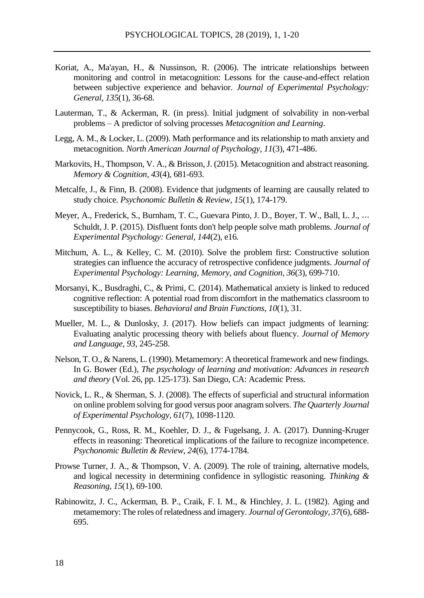- Koriat, A., Ma'ayan, H., & Nussinson, R. (2006). The intricate relationships between monitoring and control in metacognition: Lessons for the cause-and-effect relation between subjective experience and behavior. *Journal of Experimental Psychology: General, 135*(1), 36-68.
- Lauterman, T., & Ackerman, R. (in press). Initial judgment of solvability in non-verbal problems – A predictor of solving processes *Metacognition and Learning*.
- Legg, A. M., & Locker, L. (2009). Math performance and its relationship to math anxiety and metacognition. *North American Journal of Psychology, 11*(3), 471-486.
- Markovits, H., Thompson, V. A., & Brisson, J. (2015). Metacognition and abstract reasoning. *Memory & Cognition, 43*(4), 681-693.
- Metcalfe, J., & Finn, B. (2008). Evidence that judgments of learning are causally related to study choice. *Psychonomic Bulletin & Review, 15*(1), 174-179.
- Meyer, A., Frederick, S., Burnham, T. C., Guevara Pinto, J. D., Boyer, T. W., Ball, L. J., ... Schuldt, J. P. (2015). Disfluent fonts don't help people solve math problems. *Journal of Experimental Psychology: General, 144*(2), e16.
- Mitchum, A. L., & Kelley, C. M. (2010). Solve the problem first: Constructive solution strategies can influence the accuracy of retrospective confidence judgments. *Journal of Experimental Psychology: Learning, Memory, and Cognition, 36*(3), 699-710.
- Morsanyi, K., Busdraghi, C., & Primi, C. (2014). Mathematical anxiety is linked to reduced cognitive reflection: A potential road from discomfort in the mathematics classroom to susceptibility to biases. *Behavioral and Brain Functions, 10*(1), 31.
- Mueller, M. L., & Dunlosky, J. (2017). How beliefs can impact judgments of learning: Evaluating analytic processing theory with beliefs about fluency. *Journal of Memory and Language, 93*, 245-258.
- Nelson, T. O., & Narens, L. (1990). Metamemory: A theoretical framework and new findings. In G. Bower (Ed.), *The psychology of learning and motivation: Advances in research and theory* (Vol. 26, pp. 125-173). San Diego, CA: Academic Press.
- Novick, L. R., & Sherman, S. J. (2008). The effects of superficial and structural information on online problem solving for good versus poor anagram solvers. *The Quarterly Journal of Experimental Psychology, 61*(7), 1098-1120.
- Pennycook, G., Ross, R. M., Koehler, D. J., & Fugelsang, J. A. (2017). Dunning-Kruger effects in reasoning: Theoretical implications of the failure to recognize incompetence. *Psychonomic Bulletin & Review*, *24*(6), 1774-1784.
- Prowse Turner, J. A., & Thompson, V. A. (2009). The role of training, alternative models, and logical necessity in determining confidence in syllogistic reasoning. *Thinking & Reasoning, 15*(1), 69-100.
- Rabinowitz, J. C., Ackerman, B. P., Craik, F. I. M., & Hinchley, J. L. (1982). Aging and metamemory: The roles of relatedness and imagery. *Journal of Gerontology, 37*(6), 688- 695.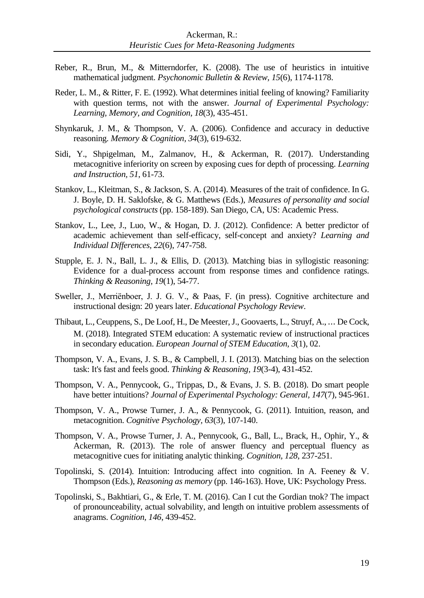- Reber, R., Brun, M., & Mitterndorfer, K. (2008). The use of heuristics in intuitive mathematical judgment. *Psychonomic Bulletin & Review, 15*(6), 1174-1178.
- Reder, L. M., & Ritter, F. E. (1992). What determines initial feeling of knowing? Familiarity with question terms, not with the answer. *Journal of Experimental Psychology: Learning, Memory, and Cognition, 18*(3), 435-451.
- Shynkaruk, J. M., & Thompson, V. A. (2006). Confidence and accuracy in deductive reasoning. *Memory & Cognition, 34*(3), 619-632.
- Sidi, Y., Shpigelman, M., Zalmanov, H., & Ackerman, R. (2017). Understanding metacognitive inferiority on screen by exposing cues for depth of processing. *Learning and Instruction, 51*, 61-73.
- Stankov, L., Kleitman, S., & Jackson, S. A. (2014). Measures of the trait of confidence. In G. J. Boyle, D. H. Saklofske, & G. Matthews (Eds.), *Measures of personality and social psychological constructs* (pp. 158-189). San Diego, CA, US: Academic Press.
- Stankov, L., Lee, J., Luo, W., & Hogan, D. J. (2012). Confidence: A better predictor of academic achievement than self-efficacy, self-concept and anxiety? *Learning and Individual Differences, 22*(6), 747-758.
- Stupple, E. J. N., Ball, L. J., & Ellis, D. (2013). Matching bias in syllogistic reasoning: Evidence for a dual-process account from response times and confidence ratings. *Thinking & Reasoning, 19*(1), 54-77.
- Sweller, J., Merriënboer, J. J. G. V., & Paas, F. (in press). Cognitive architecture and instructional design: 20 years later. *Educational Psychology Review*.
- Thibaut, L., Ceuppens, S., De Loof, H., De Meester, J., Goovaerts, L., Struyf, A., ⋯ De Cock, M. (2018). Integrated STEM education: A systematic review of instructional practices in secondary education. *European Journal of STEM Education, 3*(1), 02.
- Thompson, V. A., Evans, J. S. B., & Campbell, J. I. (2013). Matching bias on the selection task: It's fast and feels good. *Thinking & Reasoning, 19*(3-4), 431-452.
- Thompson, V. A., Pennycook, G., Trippas, D., & Evans, J. S. B. (2018). Do smart people have better intuitions? *Journal of Experimental Psychology: General, 147*(7), 945-961.
- Thompson, V. A., Prowse Turner, J. A., & Pennycook, G. (2011). Intuition, reason, and metacognition. *Cognitive Psychology, 63*(3), 107-140.
- Thompson, V. A., Prowse Turner, J. A., Pennycook, G., Ball, L., Brack, H., Ophir, Y., & Ackerman, R. (2013). The role of answer fluency and perceptual fluency as metacognitive cues for initiating analytic thinking. *Cognition, 128*, 237-251.
- Topolinski, S. (2014). Intuition: Introducing affect into cognition. In A. Feeney & V. Thompson (Eds.), *Reasoning as memory* (pp. 146-163). Hove, UK: Psychology Press.
- Topolinski, S., Bakhtiari, G., & Erle, T. M. (2016). Can I cut the Gordian tnok? The impact of pronounceability, actual solvability, and length on intuitive problem assessments of anagrams. *Cognition, 146*, 439-452.